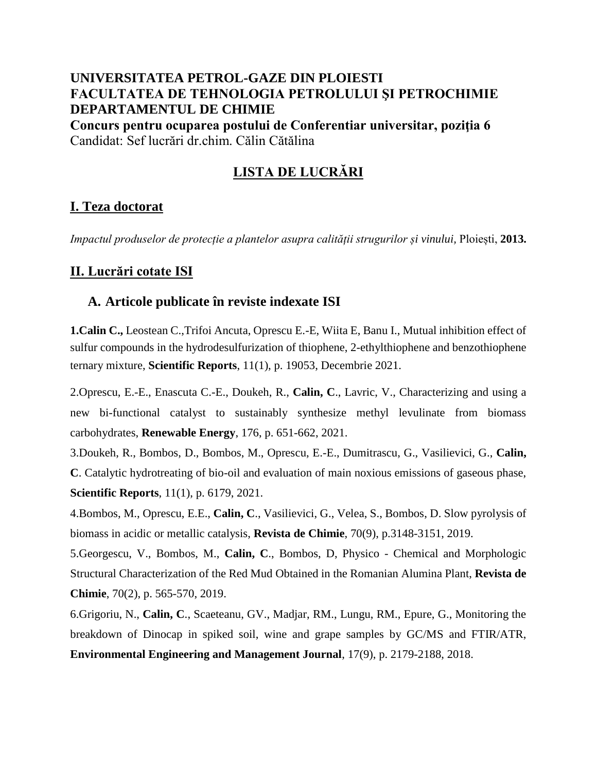# **UNIVERSITATEA PETROL-GAZE DIN PLOIESTI FACULTATEA DE TEHNOLOGIA PETROLULUI ŞI PETROCHIMIE DEPARTAMENTUL DE CHIMIE**

**Concurs pentru ocuparea postului de Conferentiar universitar, poziţia 6** Candidat: Sef lucrări dr.chim. Călin Cătălina

# **LISTA DE LUCRĂRI**

# **I. Teza doctorat**

*Impactul produselor de protecție a plantelor asupra calității strugurilor și vinului,* Ploiești, **2013.**

## **II. Lucrări cotate ISI**

### **A. Articole publicate în reviste indexate ISI**

**1.Calin C.,** Leostean C.,Trifoi Ancuta, Oprescu E.-E, Wiita E, Banu I., Mutual inhibition effect of sulfur compounds in the hydrodesulfurization of thiophene, 2-ethylthiophene and benzothiophene ternary mixture, **Scientific Reports**, 11(1), p. 19053, Decembrie 2021.

2.Oprescu, E.-E., Enascuta C.-E., Doukeh, R., **Calin, C**., Lavric, V., Characterizing and using a new bi-functional catalyst to sustainably synthesize methyl levulinate from biomass carbohydrates, **Renewable Energy**, 176, p. 651-662, 2021.

3.Doukeh, R., Bombos, D., Bombos, M., Oprescu, E.-E., Dumitrascu, G., Vasilievici, G., **Calin, C**. Catalytic hydrotreating of bio-oil and evaluation of main noxious emissions of gaseous phase, **Scientific Reports**, 11(1), p. 6179, 2021.

4.Bombos, M., Oprescu, E.E., **Calin, C**., Vasilievici, G., Velea, S., Bombos, D. Slow pyrolysis of biomass in acidic or metallic catalysis, **Revista de Chimie**, 70(9), p.3148-3151, 2019.

5.Georgescu, V., Bombos, M., **Calin, C**., Bombos, D, Physico - Chemical and Morphologic Structural Characterization of the Red Mud Obtained in the Romanian Alumina Plant, **Revista de Chimie**, 70(2), p. 565-570, 2019.

6.Grigoriu, N., **Calin, C**., Scaeteanu, GV., Madjar, RM., Lungu, RM., Epure, G., Monitoring the breakdown of Dinocap in spiked soil, wine and grape samples by GC/MS and FTIR/ATR, **Environmental Engineering and Management Journal**, 17(9), p. 2179-2188, 2018.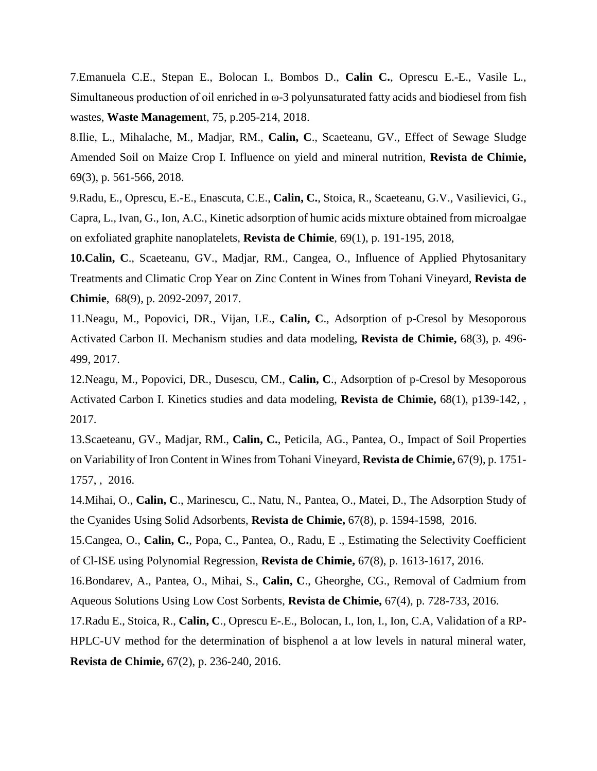7.Emanuela C.E., Stepan E., Bolocan I., Bombos D., **Calin C.**, Oprescu E.-E., Vasile L., Simultaneous production of oil enriched in ω-3 polyunsaturated fatty acids and biodiesel from fish wastes, **Waste Managemen**t, 75, p.205-214, 2018.

8.Ilie, L., Mihalache, M., Madjar, RM., **Calin, C**., Scaeteanu, GV., Effect of Sewage Sludge Amended Soil on Maize Crop I. Influence on yield and mineral nutrition, **Revista de Chimie,** 69(3), p. 561-566, 2018.

9.Radu, E., Oprescu, E.-E., Enascuta, C.E., **Calin, C.**, Stoica, R., Scaeteanu, G.V., Vasilievici, G., Capra, L., Ivan, G., Ion, A.C., Kinetic adsorption of humic acids mixture obtained from microalgae on exfoliated graphite nanoplatelets, **Revista de Chimie**, 69(1), p. 191-195, 2018,

**10.Calin, C**., Scaeteanu, GV., Madjar, RM., Cangea, O., Influence of Applied Phytosanitary Treatments and Climatic Crop Year on Zinc Content in Wines from Tohani Vineyard, **Revista de Chimie**, 68(9), p. 2092-2097, 2017.

11.Neagu, M., Popovici, DR., Vijan, LE., **Calin, C**., Adsorption of p-Cresol by Mesoporous Activated Carbon II. Mechanism studies and data modeling, **Revista de Chimie,** 68(3), p. 496- 499, 2017.

12.Neagu, M., Popovici, DR., Dusescu, CM., **Calin, C**., Adsorption of p-Cresol by Mesoporous Activated Carbon I. Kinetics studies and data modeling, **Revista de Chimie,** 68(1), p139-142, , 2017.

13.Scaeteanu, GV., Madjar, RM., **Calin, C.**, Peticila, AG., Pantea, O., Impact of Soil Properties on Variability of Iron Content in Wines from Tohani Vineyard, **Revista de Chimie,** 67(9), p. 1751- 1757, , 2016.

14.Mihai, O., **Calin, C**., Marinescu, C., Natu, N., Pantea, O., Matei, D., The Adsorption Study of the Cyanides Using Solid Adsorbents, **Revista de Chimie,** 67(8), p. 1594-1598, 2016.

15.Cangea, O., **Calin, C.**, Popa, C., Pantea, O., Radu, E ., Estimating the Selectivity Coefficient of Cl-ISE using Polynomial Regression, **Revista de Chimie,** 67(8), p. 1613-1617, 2016.

16.Bondarev, A., Pantea, O., Mihai, S., **Calin, C**., Gheorghe, CG., Removal of Cadmium from Aqueous Solutions Using Low Cost Sorbents, **Revista de Chimie,** 67(4), p. 728-733, 2016.

17.Radu E., Stoica, R., **Calin, C**., Oprescu E-.E., Bolocan, I., Ion, I., Ion, C.A, Validation of a RP-HPLC-UV method for the determination of bisphenol a at low levels in natural mineral water, **Revista de Chimie,** 67(2), p. 236-240, 2016.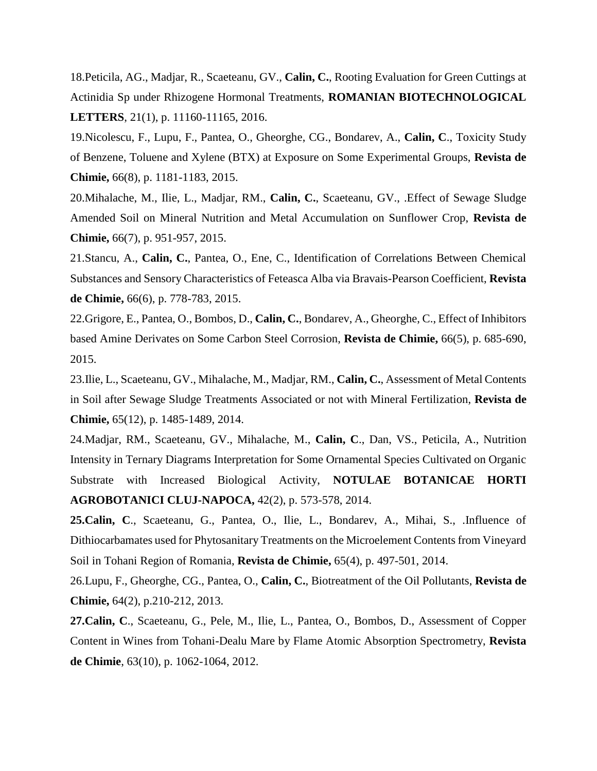18.Peticila, AG., Madjar, R., Scaeteanu, GV., **Calin, C.**, Rooting Evaluation for Green Cuttings at Actinidia Sp under Rhizogene Hormonal Treatments, **ROMANIAN BIOTECHNOLOGICAL LETTERS**, 21(1), p. 11160-11165, 2016.

19.Nicolescu, F., Lupu, F., Pantea, O., Gheorghe, CG., Bondarev, A., **Calin, C**., Toxicity Study of Benzene, Toluene and Xylene (BTX) at Exposure on Some Experimental Groups, **Revista de Chimie,** 66(8), p. 1181-1183, 2015.

20.Mihalache, M., Ilie, L., Madjar, RM., **Calin, C.**, Scaeteanu, GV., .Effect of Sewage Sludge Amended Soil on Mineral Nutrition and Metal Accumulation on Sunflower Crop, **Revista de Chimie,** 66(7), p. 951-957, 2015.

21.Stancu, A., **Calin, C.**, Pantea, O., Ene, C., Identification of Correlations Between Chemical Substances and Sensory Characteristics of Feteasca Alba via Bravais-Pearson Coefficient, **Revista de Chimie,** 66(6), p. 778-783, 2015.

22.Grigore, E., Pantea, O., Bombos, D., **Calin, C.**, Bondarev, A., Gheorghe, C., Effect of Inhibitors based Amine Derivates on Some Carbon Steel Corrosion, **Revista de Chimie,** 66(5), p. 685-690, 2015.

23.Ilie, L., Scaeteanu, GV., Mihalache, M., Madjar, RM., **Calin, C.**, Assessment of Metal Contents in Soil after Sewage Sludge Treatments Associated or not with Mineral Fertilization, **Revista de Chimie,** 65(12), p. 1485-1489, 2014.

24.Madjar, RM., Scaeteanu, GV., Mihalache, M., **Calin, C**., Dan, VS., Peticila, A., Nutrition Intensity in Ternary Diagrams Interpretation for Some Ornamental Species Cultivated on Organic Substrate with Increased Biological Activity, **NOTULAE BOTANICAE HORTI AGROBOTANICI CLUJ-NAPOCA,** 42(2), p. 573-578, 2014.

**25.Calin, C**., Scaeteanu, G., Pantea, O., Ilie, L., Bondarev, A., Mihai, S., .Influence of Dithiocarbamates used for Phytosanitary Treatments on the Microelement Contents from Vineyard Soil in Tohani Region of Romania, **Revista de Chimie,** 65(4), p. 497-501, 2014.

26.Lupu, F., Gheorghe, CG., Pantea, O., **Calin, C.**, Biotreatment of the Oil Pollutants, **Revista de Chimie,** 64(2), p.210-212, 2013.

**27.Calin, C**., Scaeteanu, G., Pele, M., Ilie, L., Pantea, O., Bombos, D., Assessment of Copper Content in Wines from Tohani-Dealu Mare by Flame Atomic Absorption Spectrometry, **Revista de Chimie**, 63(10), p. 1062-1064, 2012.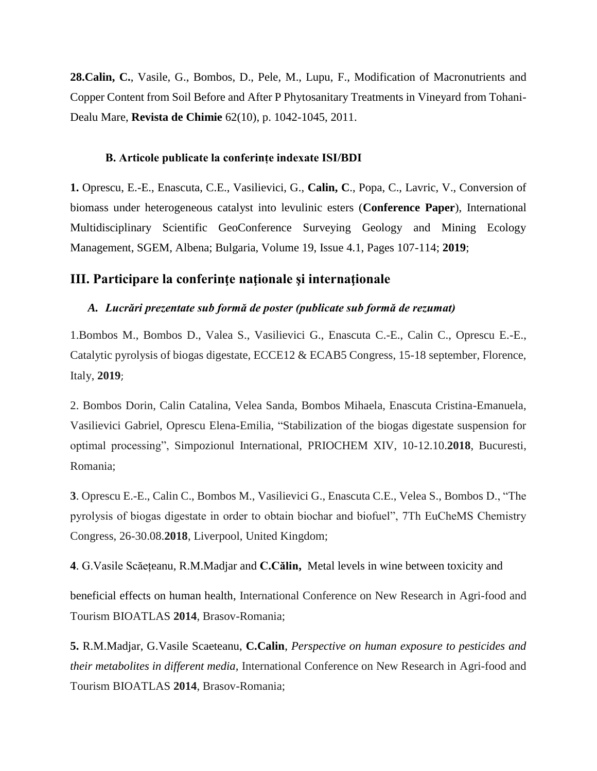**28.Calin, C.**, Vasile, G., Bombos, D., Pele, M., Lupu, F., Modification of Macronutrients and Copper Content from Soil Before and After P Phytosanitary Treatments in Vineyard from Tohani-Dealu Mare, **Revista de Chimie** 62(10), p. 1042-1045, 2011.

#### **B. Articole publicate la conferințe indexate ISI/BDI**

**1.** Oprescu, E.-E., Enascuta, C.E., Vasilievici, G., **Calin, C**., Popa, C., Lavric, V., Conversion of biomass under heterogeneous catalyst into levulinic esters (**Conference Paper**), International Multidisciplinary Scientific GeoConference Surveying Geology and Mining Ecology Management, SGEM, Albena; Bulgaria, Volume 19, Issue 4.1, Pages 107-114; **2019**;

### **III. Participare la conferinţe naţionale şi internaţionale**

### *A. Lucrări prezentate sub formă de poster (publicate sub formă de rezumat)*

1.Bombos M., Bombos D., Valea S., Vasilievici G., Enascuta C.-E., Calin C., Oprescu E.-E., Catalytic pyrolysis of biogas digestate, ECCE12 & ECAB5 Congress, 15-18 september, Florence, Italy, **2019**;

2. Bombos Dorin, Calin Catalina, Velea Sanda, Bombos Mihaela, Enascuta Cristina-Emanuela, Vasilievici Gabriel, Oprescu Elena-Emilia, "Stabilization of the biogas digestate suspension for optimal processing", Simpozionul International, PRIOCHEM XIV, 10-12.10.**2018**, Bucuresti, Romania;

**3**. Oprescu E.-E., Calin C., Bombos M., Vasilievici G., Enascuta C.E., Velea S., Bombos D., "The pyrolysis of biogas digestate in order to obtain biochar and biofuel", 7Th EuCheMS Chemistry Congress, 26-30.08.**2018**, Liverpool, United Kingdom;

**4**. G.Vasile Scăețeanu, R.M.Madjar and **C.Călin,** Metal levels in wine between toxicity and

beneficial effects on human health, International Conference on New Research in Agri-food and Tourism BIOATLAS **2014**, Brasov-Romania;

**5.** R.M.Madjar, G.Vasile Scaeteanu, **C.Calin**, *Perspective on human exposure to pesticides and their metabolites in different media,* International Conference on New Research in Agri-food and Tourism BIOATLAS **2014**, Brasov-Romania;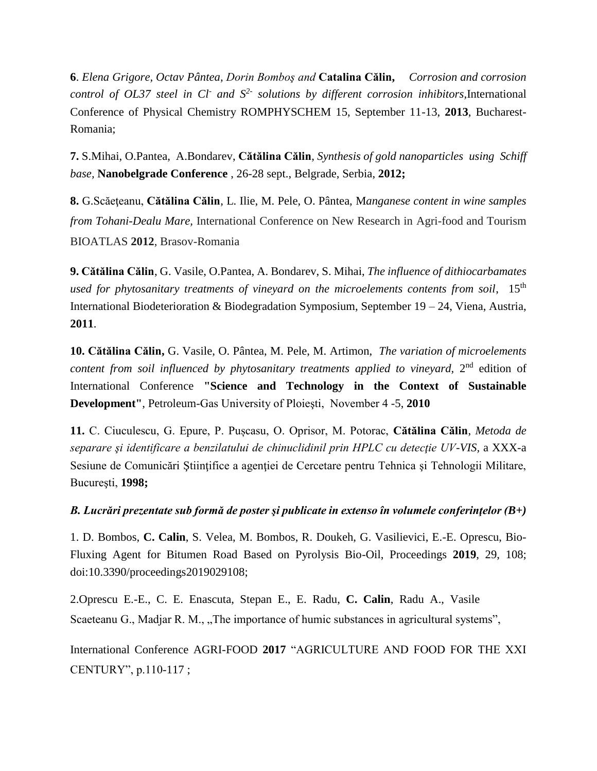**6**. *Elena Grigore, Octav Pântea, Dorin Bomboş and* **Catalina Călin,** *Corrosion and corrosion control of OL37 steel in Cl-and S2- solutions by different corrosion inhibitors,*International Conference of Physical Chemistry ROMPHYSCHEM 15, September 11-13, **2013**, Bucharest-Romania;

**7.** S.Mihai, O.Pantea, A.Bondarev, **Cătălina Călin**, *Synthesis of gold nanoparticles using Schiff base,* **Nanobelgrade Conference** , 26-28 sept., Belgrade, Serbia, **2012;**

**8.** G.Scăeţeanu, **Cătălina Călin**, L. Ilie, M. Pele, O. Pântea, M*anganese content in wine samples from Tohani-Dealu Mare,* International Conference on New Research in Agri-food and Tourism BIOATLAS **2012**, Brasov-Romania

**9. Cătălina Călin**, G. Vasile, O.Pantea, A. Bondarev, S. Mihai, *The influence of dithiocarbamates used for phytosanitary treatments of vineyard on the microelements contents from soil*, 15th International Biodeterioration & Biodegradation Symposium, September 19 – 24, Viena, Austria, **2011**.

**10. Cătălina Călin,** G. Vasile, O. Pântea, M. Pele, M. Artimon, *The variation of microelements*  content from soil influenced by phytosanitary treatments applied to vineyard, 2<sup>nd</sup> edition of International Conference **"Science and Technology in the Context of Sustainable Development"**, Petroleum-Gas University of Ploieşti, November 4 -5, **2010**

**11.** C. Ciuculescu, G. Epure, P. Pușcasu, O. Oprisor, M. Potorac, **Cătălina Călin**, *Metoda de separare şi identificare a benzilatului de chinuclidinil prin HPLC cu detecţie UV-VIS,* a XXX-a Sesiune de Comunicări Științifice a agenției de Cercetare pentru Tehnica și Tehnologii Militare, Bucureşti, **1998;**

*B. Lucrări prezentate sub formă de poster şi publicate in extenso în volumele conferinţelor (B+)*

1. D. Bombos, **C. Calin**, S. Velea, M. Bombos, R. Doukeh, G. Vasilievici, E.-E. Oprescu, Bio-Fluxing Agent for Bitumen Road Based on Pyrolysis Bio-Oil, Proceedings **2019**, 29, 108; doi:10.3390/proceedings2019029108;

2.Oprescu E.-E.,C. E. Enascuta, Stepan E., E. Radu, **C. Calin**, Radu A., Vasile Scaeteanu G., Madjar R. M., "The importance of humic substances in agricultural systems",

International Conference AGRI-FOOD **2017** "AGRICULTURE AND FOOD FOR THE XXI CENTURY", p.110-117 ;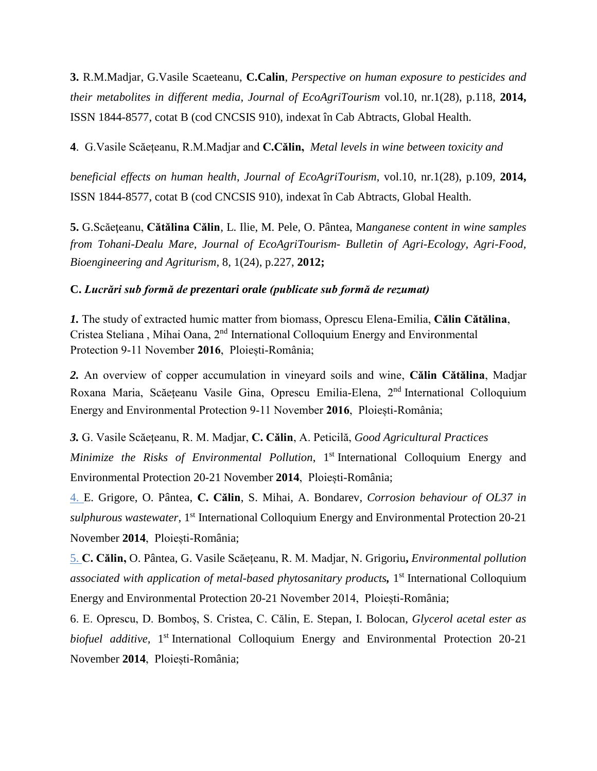**3.** R.M.Madjar, G.Vasile Scaeteanu, **C.Calin**, *Perspective on human exposure to pesticides and their metabolites in different media, Journal of EcoAgriTourism* vol.10, nr.1(28), p.118, **2014,** ISSN 1844-8577, cotat B (cod CNCSIS 910), indexat în Cab Abtracts, Global Health.

**4**. G.Vasile Scăețeanu, R.M.Madjar and **C.Călin,** *Metal levels in wine between toxicity and*

*beneficial effects on human health*, *Journal of EcoAgriTourism*, vol.10, nr.1(28), p.109, **2014,** ISSN 1844-8577, cotat B (cod CNCSIS 910), indexat în Cab Abtracts, Global Health.

**5.** G.Scăeţeanu, **Cătălina Călin**, L. Ilie, M. Pele, O. Pântea, M*anganese content in wine samples from Tohani-Dealu Mare, Journal of EcoAgriTourism- Bulletin of Agri-Ecology, Agri-Food, Bioengineering and Agriturism*, 8, 1(24), p.227, **2012;**

### **C.** *Lucrări sub formă de prezentari orale (publicate sub formă de rezumat)*

*1.* The study of extracted humic matter from biomass, Oprescu Elena-Emilia, **Călin Cătălina**, Cristea Steliana, Mihai Oana, 2<sup>nd</sup> International Colloquium Energy and Environmental Protection 9-11 November **2016**, Ploiești-România;

*2.* An overview of copper accumulation in vineyard soils and wine, **Călin Cătălina**, Madjar Roxana Maria, Scăețeanu Vasile Gina, Oprescu Emilia-Elena, 2<sup>nd</sup> International Colloquium Energy and Environmental Protection 9-11 November **2016**, Ploiești-România;

*3.* G. Vasile Scăețeanu, R. M. Madjar, **C. Călin**, A. Peticilă, *Good Agricultural Practices Minimize the Risks of Environmental Pollution*, 1<sup>st</sup> International Colloquium Energy and Environmental Protection 20-21 November **2014**, Ploiești-România;

4. E. Grigore, O. Pântea, **C. Călin**, S. Mihai, A. Bondarev*, Corrosion behaviour of OL37 in*  sulphurous wastewater, 1<sup>st</sup> International Colloquium Energy and Environmental Protection 20-21 November **2014**, Ploiești-România;

5. **C. Călin,** O. Pântea, G. Vasile Scăețeanu, R. M. Madjar, N. Grigoriu**,** *Environmental pollution associated with application of metal-based phytosanitary products,* 1 st International Colloquium Energy and Environmental Protection 20-21 November 2014, Ploiești-România;

6. E. Oprescu, D. Bomboş, S. Cristea, C. Călin, E. Stepan, I. Bolocan, *Glycerol acetal ester as*  biofuel additive, 1<sup>st</sup> International Colloquium Energy and Environmental Protection 20-21 November **2014**, Ploiești-România;